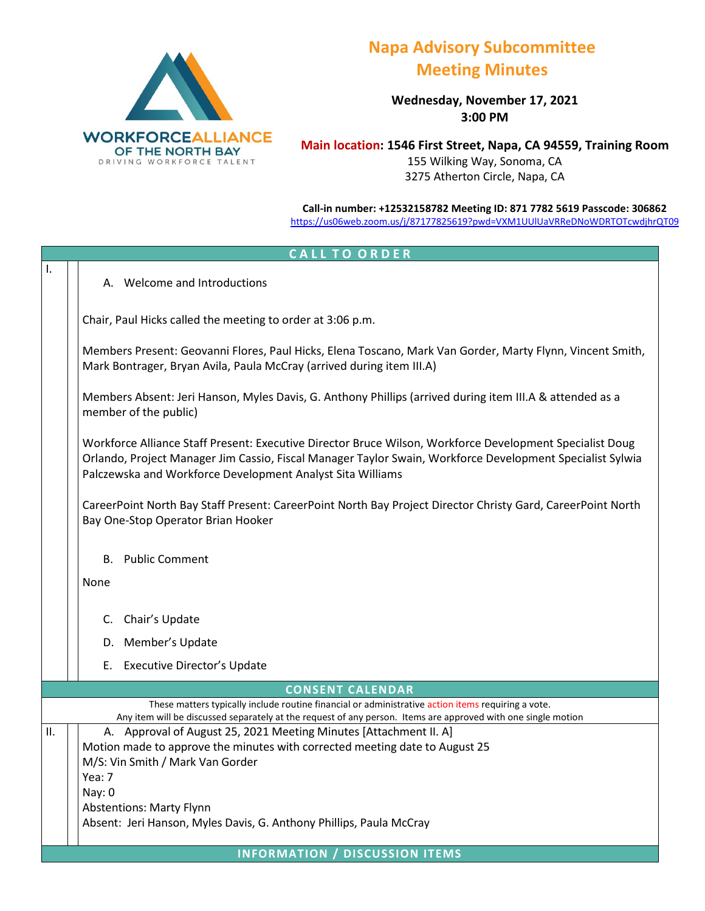

## **Napa Advisory Subcommittee Meeting Minutes**

**Wednesday, November 17, 2021 3:00 PM**

**Main location: 1546 First Street, Napa, CA 94559, Training Room** 155 Wilking Way, Sonoma, CA 3275 Atherton Circle, Napa, CA

**Call-in number: +12532158782 Meeting ID: 871 7782 5619 Passcode: 306862** <https://us06web.zoom.us/j/87177825619?pwd=VXM1UUlUaVRReDNoWDRTOTcwdjhrQT09>

## **C A L L T O O R D E R**  I. A. Welcome and Introductions Chair, Paul Hicks called the meeting to order at 3:06 p.m. Members Present: Geovanni Flores, Paul Hicks, Elena Toscano, Mark Van Gorder, Marty Flynn, Vincent Smith, Mark Bontrager, Bryan Avila, Paula McCray (arrived during item III.A) Members Absent: Jeri Hanson, Myles Davis, G. Anthony Phillips (arrived during item III.A & attended as a member of the public) Workforce Alliance Staff Present: Executive Director Bruce Wilson, Workforce Development Specialist Doug Orlando, Project Manager Jim Cassio, Fiscal Manager Taylor Swain, Workforce Development Specialist Sylwia Palczewska and Workforce Development Analyst Sita Williams CareerPoint North Bay Staff Present: CareerPoint North Bay Project Director Christy Gard, CareerPoint North Bay One-Stop Operator Brian Hooker B. Public Comment None C. Chair's Update D. Member's Update E. Executive Director's Update **CONSENT CALENDAR** These matters typically include routine financial or administrative action items requiring a vote. Any item will be discussed separately at the request of any person. Items are approved with one single motion II.  $\vert$   $\vert$  A. Approval of August 25, 2021 Meeting Minutes [Attachment II. A] Motion made to approve the minutes with corrected meeting date to August 25 M/S: Vin Smith / Mark Van Gorder Yea: 7 Nay: 0 Abstentions: Marty Flynn Absent: Jeri Hanson, Myles Davis, G. Anthony Phillips, Paula McCray **INFORMATION / DISCUSSION ITEMS**